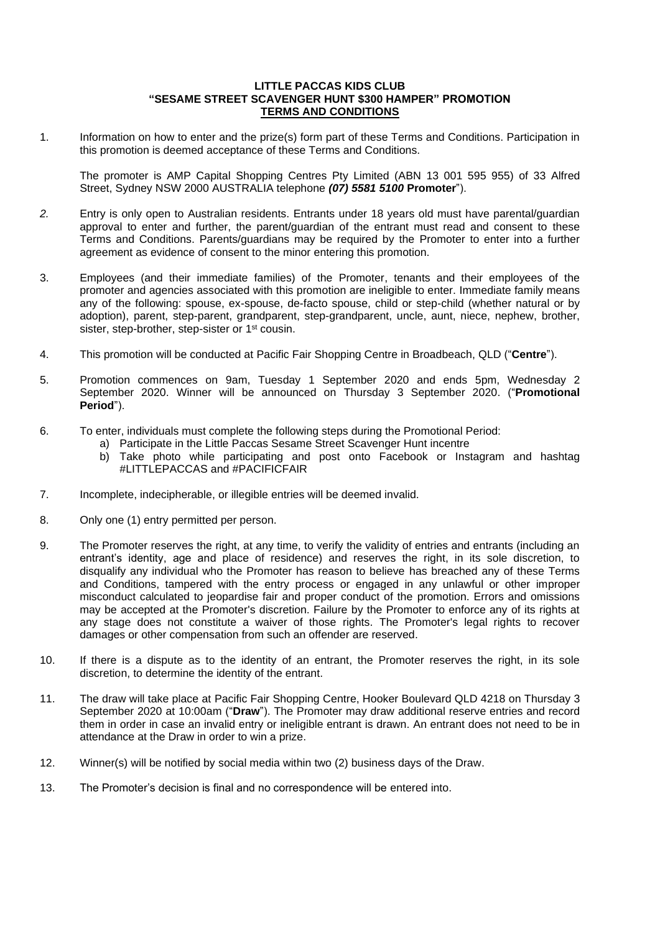## **LITTLE PACCAS KIDS CLUB "SESAME STREET SCAVENGER HUNT \$300 HAMPER" PROMOTION TERMS AND CONDITIONS**

1. Information on how to enter and the prize(s) form part of these Terms and Conditions. Participation in this promotion is deemed acceptance of these Terms and Conditions.

The promoter is AMP Capital Shopping Centres Pty Limited (ABN 13 001 595 955) of 33 Alfred Street, Sydney NSW 2000 AUSTRALIA telephone *(07) 5581 5100* **Promoter**").

- *2.* Entry is only open to Australian residents. Entrants under 18 years old must have parental/guardian approval to enter and further, the parent/guardian of the entrant must read and consent to these Terms and Conditions. Parents/guardians may be required by the Promoter to enter into a further agreement as evidence of consent to the minor entering this promotion.
- 3. Employees (and their immediate families) of the Promoter, tenants and their employees of the promoter and agencies associated with this promotion are ineligible to enter. Immediate family means any of the following: spouse, ex-spouse, de-facto spouse, child or step-child (whether natural or by adoption), parent, step-parent, grandparent, step-grandparent, uncle, aunt, niece, nephew, brother, sister, step-brother, step-sister or 1<sup>st</sup> cousin.
- 4. This promotion will be conducted at Pacific Fair Shopping Centre in Broadbeach, QLD ("**Centre**").
- 5. Promotion commences on 9am, Tuesday 1 September 2020 and ends 5pm, Wednesday 2 September 2020. Winner will be announced on Thursday 3 September 2020. ("**Promotional Period**").
- 6. To enter, individuals must complete the following steps during the Promotional Period:
	- a) Participate in the Little Paccas Sesame Street Scavenger Hunt incentre
		- b) Take photo while participating and post onto Facebook or Instagram and hashtag #LITTLEPACCAS and #PACIFICFAIR
- 7. Incomplete, indecipherable, or illegible entries will be deemed invalid.
- 8. Only one (1) entry permitted per person.
- 9. The Promoter reserves the right, at any time, to verify the validity of entries and entrants (including an entrant's identity, age and place of residence) and reserves the right, in its sole discretion, to disqualify any individual who the Promoter has reason to believe has breached any of these Terms and Conditions, tampered with the entry process or engaged in any unlawful or other improper misconduct calculated to jeopardise fair and proper conduct of the promotion. Errors and omissions may be accepted at the Promoter's discretion. Failure by the Promoter to enforce any of its rights at any stage does not constitute a waiver of those rights. The Promoter's legal rights to recover damages or other compensation from such an offender are reserved.
- 10. If there is a dispute as to the identity of an entrant, the Promoter reserves the right, in its sole discretion, to determine the identity of the entrant.
- 11. The draw will take place at Pacific Fair Shopping Centre, Hooker Boulevard QLD 4218 on Thursday 3 September 2020 at 10:00am ("**Draw**"). The Promoter may draw additional reserve entries and record them in order in case an invalid entry or ineligible entrant is drawn. An entrant does not need to be in attendance at the Draw in order to win a prize.
- 12. Winner(s) will be notified by social media within two (2) business days of the Draw.
- 13. The Promoter's decision is final and no correspondence will be entered into.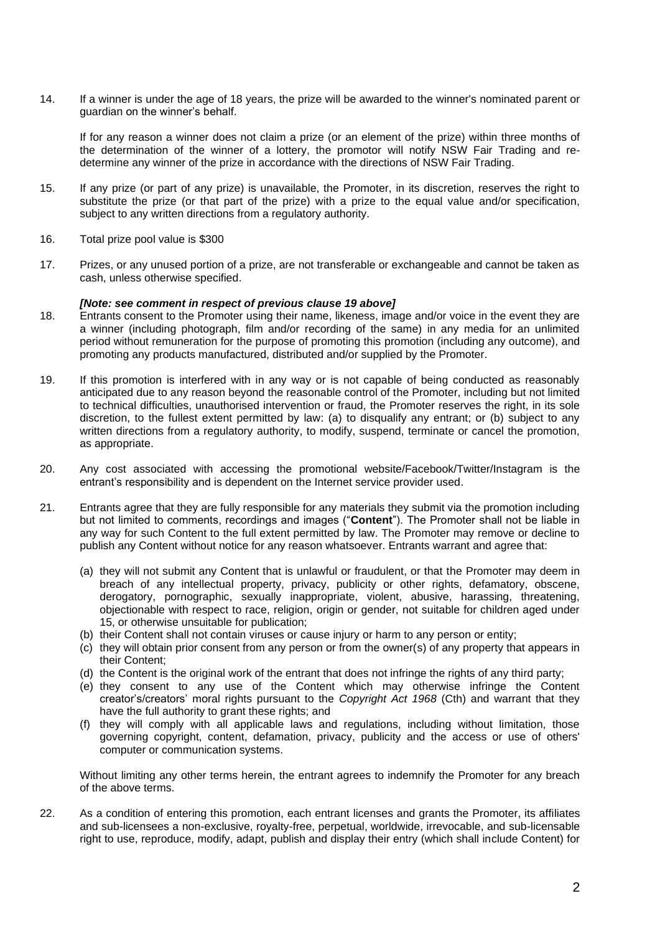14. If a winner is under the age of 18 years, the prize will be awarded to the winner's nominated parent or guardian on the winner's behalf.

If for any reason a winner does not claim a prize (or an element of the prize) within three months of the determination of the winner of a lottery, the promotor will notify NSW Fair Trading and redetermine any winner of the prize in accordance with the directions of NSW Fair Trading.

- 15. If any prize (or part of any prize) is unavailable, the Promoter, in its discretion, reserves the right to substitute the prize (or that part of the prize) with a prize to the equal value and/or specification, subject to any written directions from a regulatory authority.
- 16. Total prize pool value is \$300
- 17. Prizes, or any unused portion of a prize, are not transferable or exchangeable and cannot be taken as cash, unless otherwise specified.

## *[Note: see comment in respect of previous clause 19 above]*

- 18. Entrants consent to the Promoter using their name, likeness, image and/or voice in the event they are a winner (including photograph, film and/or recording of the same) in any media for an unlimited period without remuneration for the purpose of promoting this promotion (including any outcome), and promoting any products manufactured, distributed and/or supplied by the Promoter.
- 19. If this promotion is interfered with in any way or is not capable of being conducted as reasonably anticipated due to any reason beyond the reasonable control of the Promoter, including but not limited to technical difficulties, unauthorised intervention or fraud, the Promoter reserves the right, in its sole discretion, to the fullest extent permitted by law: (a) to disqualify any entrant; or (b) subject to any written directions from a regulatory authority, to modify, suspend, terminate or cancel the promotion, as appropriate.
- 20. Any cost associated with accessing the promotional website/Facebook/Twitter/Instagram is the entrant's responsibility and is dependent on the Internet service provider used.
- 21. Entrants agree that they are fully responsible for any materials they submit via the promotion including but not limited to comments, recordings and images ("**Content**"). The Promoter shall not be liable in any way for such Content to the full extent permitted by law. The Promoter may remove or decline to publish any Content without notice for any reason whatsoever. Entrants warrant and agree that:
	- (a) they will not submit any Content that is unlawful or fraudulent, or that the Promoter may deem in breach of any intellectual property, privacy, publicity or other rights, defamatory, obscene, derogatory, pornographic, sexually inappropriate, violent, abusive, harassing, threatening, objectionable with respect to race, religion, origin or gender, not suitable for children aged under 15, or otherwise unsuitable for publication;
	- (b) their Content shall not contain viruses or cause injury or harm to any person or entity;
	- (c) they will obtain prior consent from any person or from the owner(s) of any property that appears in their Content;
	- (d) the Content is the original work of the entrant that does not infringe the rights of any third party;
	- (e) they consent to any use of the Content which may otherwise infringe the Content creator's/creators' moral rights pursuant to the *Copyright Act 1968* (Cth) and warrant that they have the full authority to grant these rights; and
	- (f) they will comply with all applicable laws and regulations, including without limitation, those governing copyright, content, defamation, privacy, publicity and the access or use of others' computer or communication systems.

Without limiting any other terms herein, the entrant agrees to indemnify the Promoter for any breach of the above terms.

22. As a condition of entering this promotion, each entrant licenses and grants the Promoter, its affiliates and sub-licensees a non-exclusive, royalty-free, perpetual, worldwide, irrevocable, and sub-licensable right to use, reproduce, modify, adapt, publish and display their entry (which shall include Content) for